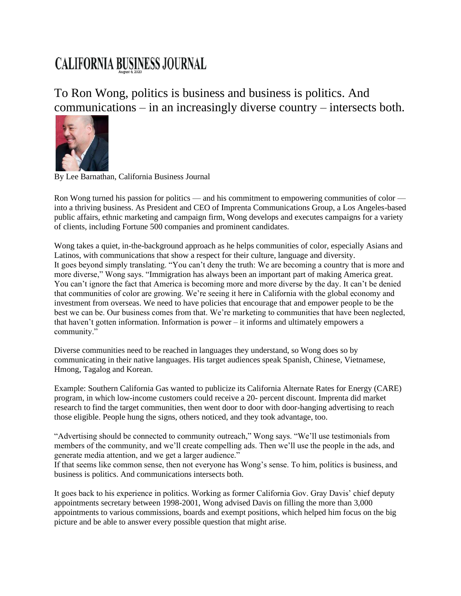## **CALIFORNIA BUSINESS JOURNAL**

To Ron Wong, politics is business and business is politics. And communications – in an increasingly diverse country – intersects both.



By Lee Barnathan, California Business Journal

Ron Wong turned his passion for politics — and his commitment to empowering communities of color into a thriving business. As President and CEO of Imprenta Communications Group, a Los Angeles-based public affairs, ethnic marketing and campaign firm, Wong develops and executes campaigns for a variety of clients, including Fortune 500 companies and prominent candidates.

Wong takes a quiet, in-the-background approach as he helps communities of color, especially Asians and Latinos, with communications that show a respect for their culture, language and diversity. It goes beyond simply translating. "You can't deny the truth: We are becoming a country that is more and more diverse," Wong says. "Immigration has always been an important part of making America great. You can't ignore the fact that America is becoming more and more diverse by the day. It can't be denied that communities of color are growing. We're seeing it here in California with the global economy and investment from overseas. We need to have policies that encourage that and empower people to be the best we can be. Our business comes from that. We're marketing to communities that have been neglected, that haven't gotten information. Information is power  $-$  it informs and ultimately empowers a community."

Diverse communities need to be reached in languages they understand, so Wong does so by communicating in their native languages. His target audiences speak Spanish, Chinese, Vietnamese, Hmong, Tagalog and Korean.

Example: Southern California Gas wanted to publicize its California Alternate Rates for Energy (CARE) program, in which low-income customers could receive a 20- percent discount. Imprenta did market research to find the target communities, then went door to door with door-hanging advertising to reach those eligible. People hung the signs, others noticed, and they took advantage, too.

"Advertising should be connected to community outreach," Wong says. "We'll use testimonials from members of the community, and we'll create compelling ads. Then we'll use the people in the ads, and generate media attention, and we get a larger audience."

If that seems like common sense, then not everyone has Wong's sense. To him, politics is business, and business is politics. And communications intersects both.

It goes back to his experience in politics. Working as former California Gov. Gray Davis' chief deputy appointments secretary between 1998-2001, Wong advised Davis on filling the more than 3,000 appointments to various commissions, boards and exempt positions, which helped him focus on the big picture and be able to answer every possible question that might arise.